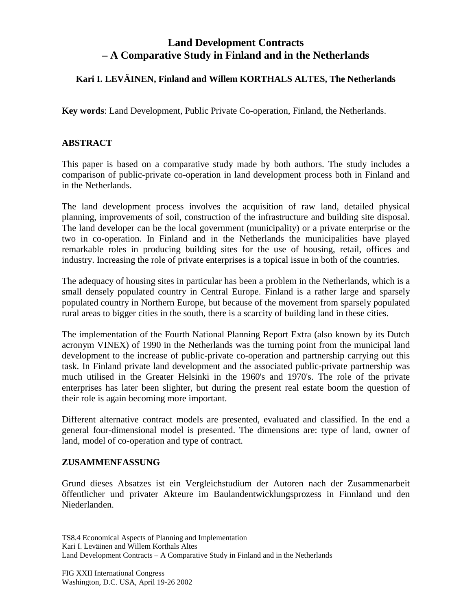# **Land Development Contracts – A Comparative Study in Finland and in the Netherlands**

## **Kari I. LEVÄINEN, Finland and Willem KORTHALS ALTES, The Netherlands**

**Key words**: Land Development, Public Private Co-operation, Finland, the Netherlands.

### **ABSTRACT**

This paper is based on a comparative study made by both authors. The study includes a comparison of public-private co-operation in land development process both in Finland and in the Netherlands.

The land development process involves the acquisition of raw land, detailed physical planning, improvements of soil, construction of the infrastructure and building site disposal. The land developer can be the local government (municipality) or a private enterprise or the two in co-operation. In Finland and in the Netherlands the municipalities have played remarkable roles in producing building sites for the use of housing, retail, offices and industry. Increasing the role of private enterprises is a topical issue in both of the countries.

The adequacy of housing sites in particular has been a problem in the Netherlands, which is a small densely populated country in Central Europe. Finland is a rather large and sparsely populated country in Northern Europe, but because of the movement from sparsely populated rural areas to bigger cities in the south, there is a scarcity of building land in these cities.

The implementation of the Fourth National Planning Report Extra (also known by its Dutch acronym VINEX) of 1990 in the Netherlands was the turning point from the municipal land development to the increase of public-private co-operation and partnership carrying out this task. In Finland private land development and the associated public-private partnership was much utilised in the Greater Helsinki in the 1960's and 1970's. The role of the private enterprises has later been slighter, but during the present real estate boom the question of their role is again becoming more important.

Different alternative contract models are presented, evaluated and classified. In the end a general four-dimensional model is presented. The dimensions are: type of land, owner of land, model of co-operation and type of contract.

#### **ZUSAMMENFASSUNG**

Grund dieses Absatzes ist ein Vergleichstudium der Autoren nach der Zusammenarbeit öffentlicher und privater Akteure im Baulandentwicklungsprozess in Finnland und den Niederlanden.

Kari I. Leväinen and Willem Korthals Altes

Land Development Contracts – A Comparative Study in Finland and in the Netherlands

TS8.4 Economical Aspects of Planning and Implementation